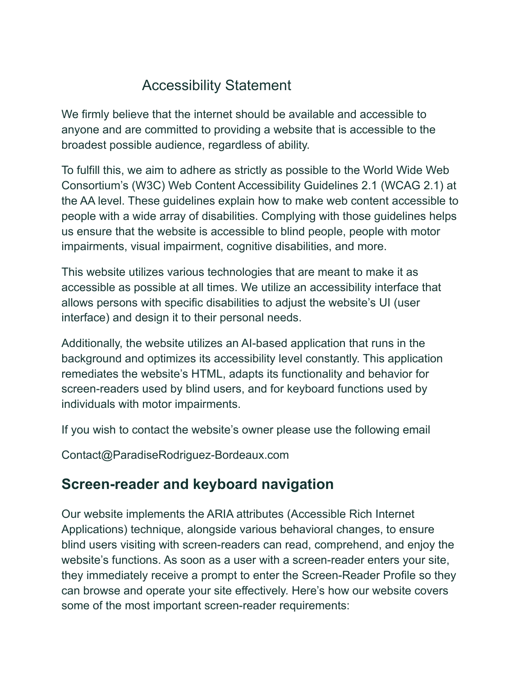# Accessibility Statement

We firmly believe that the internet should be available and accessible to anyone and are committed to providing a website that is accessible to the broadest possible audience, regardless of ability.

To fulfill this, we aim to adhere as strictly as possible to the World Wide Web Consortium's (W3C) Web Content Accessibility Guidelines 2.1 (WCAG 2.1) at the AA level. These guidelines explain how to make web content accessible to people with a wide array of disabilities. Complying with those guidelines helps us ensure that the website is accessible to blind people, people with motor impairments, visual impairment, cognitive disabilities, and more.

This website utilizes various technologies that are meant to make it as accessible as possible at all times. We utilize an accessibility interface that allows persons with specific disabilities to adjust the website's UI (user interface) and design it to their personal needs.

Additionally, the website utilizes an AI-based application that runs in the background and optimizes its accessibility level constantly. This application remediates the website's HTML, adapts its functionality and behavior for screen-readers used by blind users, and for keyboard functions used by individuals with motor impairments.

If you wish to contact the website's owner please use the following email

Contact@ParadiseRodriguez-Bordeaux.com

## **Screen-reader and keyboard navigation**

Our website implements the ARIA attributes (Accessible Rich Internet Applications) technique, alongside various behavioral changes, to ensure blind users visiting with screen-readers can read, comprehend, and enjoy the website's functions. As soon as a user with a screen-reader enters your site, they immediately receive a prompt to enter the Screen-Reader Profile so they can browse and operate your site effectively. Here's how our website covers some of the most important screen-reader requirements: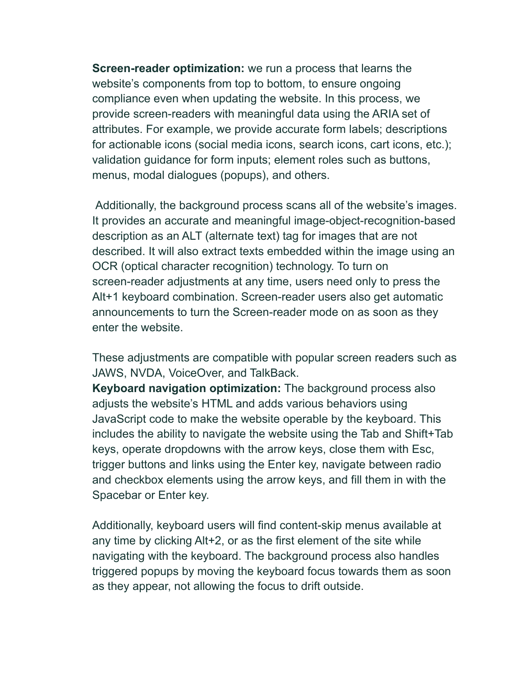**Screen-reader optimization:** we run a process that learns the website's components from top to bottom, to ensure ongoing compliance even when updating the website. In this process, we provide screen-readers with meaningful data using the ARIA set of attributes. For example, we provide accurate form labels; descriptions for actionable icons (social media icons, search icons, cart icons, etc.); validation guidance for form inputs; element roles such as buttons, menus, modal dialogues (popups), and others.

Additionally, the background process scans all of the website's images. It provides an accurate and meaningful image-object-recognition-based description as an ALT (alternate text) tag for images that are not described. It will also extract texts embedded within the image using an OCR (optical character recognition) technology. To turn on screen-reader adjustments at any time, users need only to press the Alt+1 keyboard combination. Screen-reader users also get automatic announcements to turn the Screen-reader mode on as soon as they enter the website.

These adjustments are compatible with popular screen readers such as JAWS, NVDA, VoiceOver, and TalkBack.

**Keyboard navigation optimization:** The background process also adjusts the website's HTML and adds various behaviors using JavaScript code to make the website operable by the keyboard. This includes the ability to navigate the website using the Tab and Shift+Tab keys, operate dropdowns with the arrow keys, close them with Esc, trigger buttons and links using the Enter key, navigate between radio and checkbox elements using the arrow keys, and fill them in with the Spacebar or Enter key.

Additionally, keyboard users will find content-skip menus available at any time by clicking Alt+2, or as the first element of the site while navigating with the keyboard. The background process also handles triggered popups by moving the keyboard focus towards them as soon as they appear, not allowing the focus to drift outside.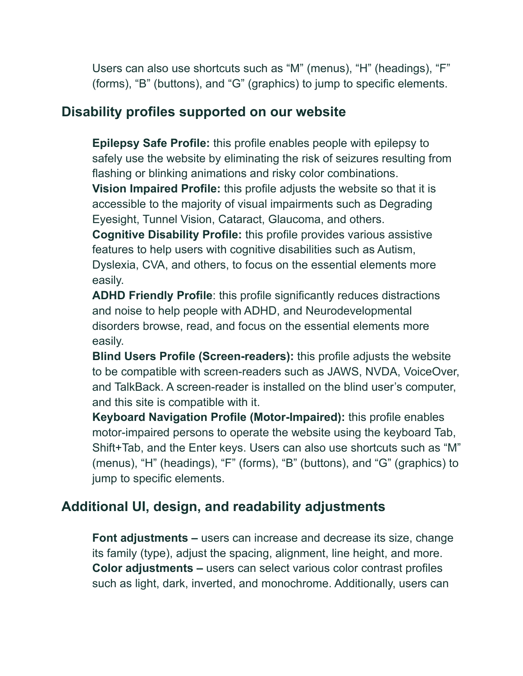Users can also use shortcuts such as "M" (menus), "H" (headings), "F" (forms), "B" (buttons), and "G" (graphics) to jump to specific elements.

#### **Disability profiles supported on our website**

**Epilepsy Safe Profile:** this profile enables people with epilepsy to safely use the website by eliminating the risk of seizures resulting from flashing or blinking animations and risky color combinations.

**Vision Impaired Profile:** this profile adjusts the website so that it is accessible to the majority of visual impairments such as Degrading Eyesight, Tunnel Vision, Cataract, Glaucoma, and others.

**Cognitive Disability Profile:** this profile provides various assistive features to help users with cognitive disabilities such as Autism, Dyslexia, CVA, and others, to focus on the essential elements more easily.

**ADHD Friendly Profile**: this profile significantly reduces distractions and noise to help people with ADHD, and Neurodevelopmental disorders browse, read, and focus on the essential elements more easily.

**Blind Users Profile (Screen-readers):** this profile adjusts the website to be compatible with screen-readers such as JAWS, NVDA, VoiceOver, and TalkBack. A screen-reader is installed on the blind user's computer, and this site is compatible with it.

**Keyboard Navigation Profile (Motor-Impaired):** this profile enables motor-impaired persons to operate the website using the keyboard Tab, Shift+Tab, and the Enter keys. Users can also use shortcuts such as "M" (menus), "H" (headings), "F" (forms), "B" (buttons), and "G" (graphics) to jump to specific elements.

### **Additional UI, design, and readability adjustments**

**Font adjustments –** users can increase and decrease its size, change its family (type), adjust the spacing, alignment, line height, and more. **Color adjustments –** users can select various color contrast profiles such as light, dark, inverted, and monochrome. Additionally, users can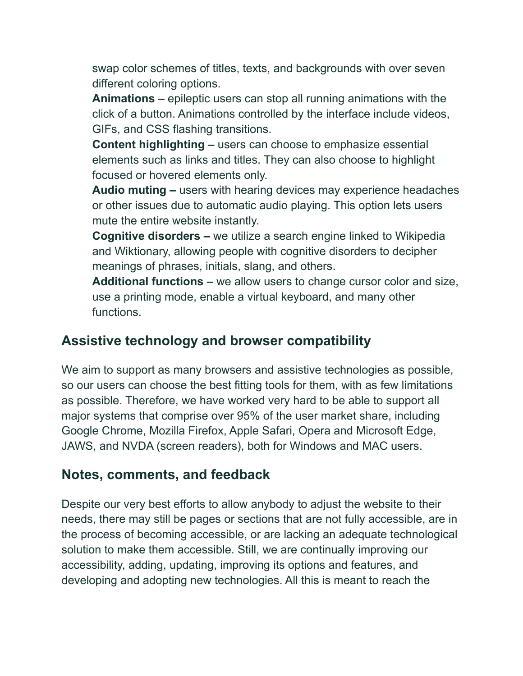swap color schemes of titles, texts, and backgrounds with over seven different coloring options.

**Animations –** epileptic users can stop all running animations with the click of a button. Animations controlled by the interface include videos, GIFs, and CSS flashing transitions.

**Content highlighting –** users can choose to emphasize essential elements such as links and titles. They can also choose to highlight focused or hovered elements only.

**Audio muting –** users with hearing devices may experience headaches or other issues due to automatic audio playing. This option lets users mute the entire website instantly.

**Cognitive disorders –** we utilize a search engine linked to Wikipedia and Wiktionary, allowing people with cognitive disorders to decipher meanings of phrases, initials, slang, and others.

**Additional functions –** we allow users to change cursor color and size, use a printing mode, enable a virtual keyboard, and many other functions.

### **Assistive technology and browser compatibility**

We aim to support as many browsers and assistive technologies as possible, so our users can choose the best fitting tools for them, with as few limitations as possible. Therefore, we have worked very hard to be able to support all major systems that comprise over 95% of the user market share, including Google Chrome, Mozilla Firefox, Apple Safari, Opera and Microsoft Edge, JAWS, and NVDA (screen readers), both for Windows and MAC users.

#### **Notes, comments, and feedback**

Despite our very best efforts to allow anybody to adjust the website to their needs, there may still be pages or sections that are not fully accessible, are in the process of becoming accessible, or are lacking an adequate technological solution to make them accessible. Still, we are continually improving our accessibility, adding, updating, improving its options and features, and developing and adopting new technologies. All this is meant to reach the